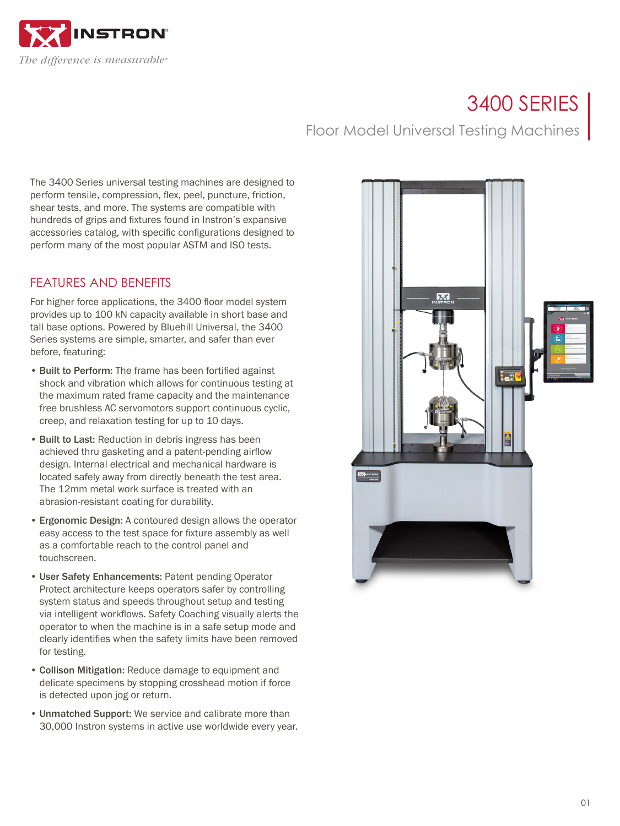

# 3400 SERIES

Floor Model Universal Testing Machines

The 3400 Series universal testing machines are designed to perform tensile, compression, flex, peel, puncture, friction, shear tests, and more. The systems are compatible with hundreds of grips and fixtures found in Instron's expansive accessories catalog, with specific configurations designed to perform many of the most popular ASTM and ISO tests.

## FEATURES AND BENEFITS

For higher force applications, the 3400 floor model system provides up to 100 kN capacity available in short base and tall base options. Powered by Bluehill Universal, the 3400 Series systems are simple, smarter, and safer than ever before, featuring:

- Built to Perform: The frame has been fortified against shock and vibration which allows for continuous testing at the maximum rated frame capacity and the maintenance free brushless AC servomotors support continuous cyclic, creep, and relaxation testing for up to 10 days.
- Built to Last: Reduction in debris ingress has been achieved thru gasketing and a patent-pending airflow design. Internal electrical and mechanical hardware is located safely away from directly beneath the test area. The 12mm metal work surface is treated with an abrasion-resistant coating for durability.
- Ergonomic Design: A contoured design allows the operator easy access to the test space for fixture assembly as well as a comfortable reach to the control panel and touchscreen.
- User Safety Enhancements: Patent pending Operator Protect architecture keeps operators safer by controlling system status and speeds throughout setup and testing via intelligent workflows. Safety Coaching visually alerts the operator to when the machine is in a safe setup mode and clearly identifies when the safety limits have been removed for testing.
- Collison Mitigation: Reduce damage to equipment and delicate specimens by stopping crosshead motion if force is detected upon jog or return.
- Unmatched Support: We service and calibrate more than 30,000 Instron systems in active use worldwide every year.